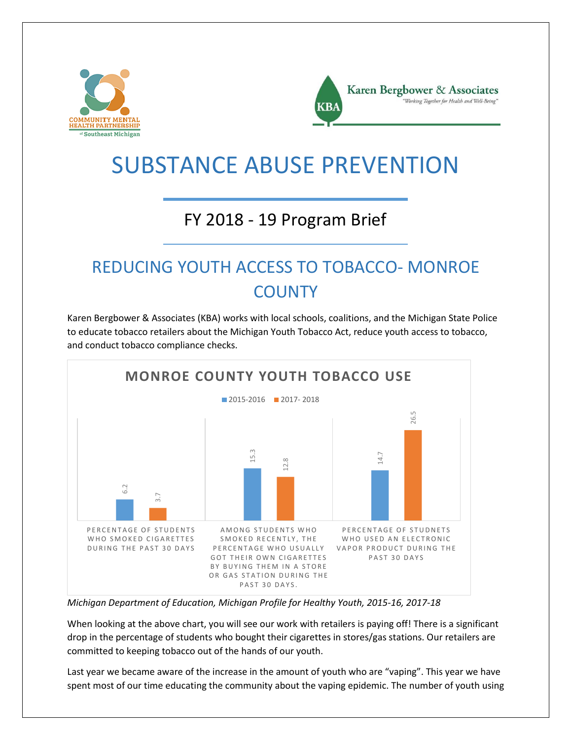



# SUBSTANCE ABUSE PREVENTION

#### FY 2018 - 19 Program Brief

## REDUCING YOUTH ACCESS TO TOBACCO- MONROE **COUNTY**

Karen Bergbower & Associates (KBA) works with local schools, coalitions, and the Michigan State Police to educate tobacco retailers about the Michigan Youth Tobacco Act, reduce youth access to tobacco, and conduct tobacco compliance checks.



*Michigan Department of Education, Michigan Profile for Healthy Youth, 2015-16, 2017-18*

When looking at the above chart, you will see our work with retailers is paying off! There is a significant drop in the percentage of students who bought their cigarettes in stores/gas stations. Our retailers are committed to keeping tobacco out of the hands of our youth.

Last year we became aware of the increase in the amount of youth who are "vaping". This year we have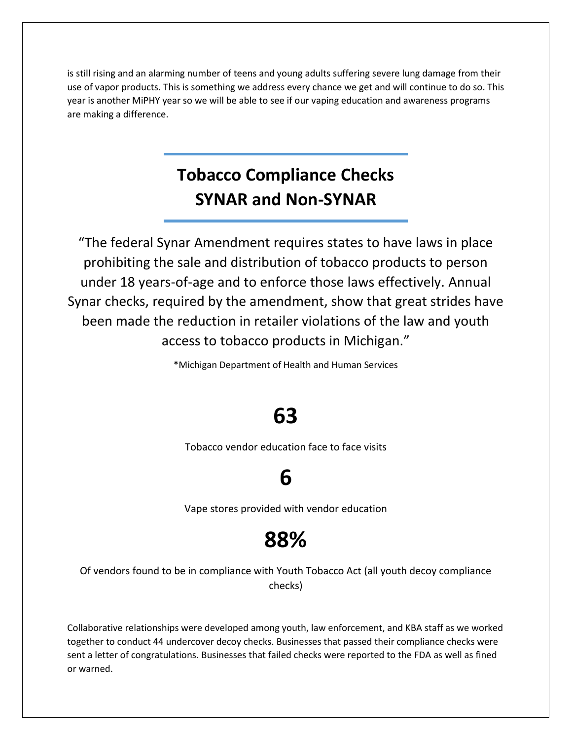is still rising and an alarming number of teens and young adults suffering severe lung damage from their use of vapor products. This is something we address every chance we get and will continue to do so. This year is another MiPHY year so we will be able to see if our vaping education and awareness programs are making a difference.

#### **Tobacco Compliance Checks SYNAR and Non-SYNAR**

"The federal Synar Amendment requires states to have laws in place prohibiting the sale and distribution of tobacco products to person under 18 years-of-age and to enforce those laws effectively. Annual Synar checks, required by the amendment, show that great strides have been made the reduction in retailer violations of the law and youth access to tobacco products in Michigan."

\*Michigan Department of Health and Human Services

## **63**

Tobacco vendor education face to face visits

## **6**

Vape stores provided with vendor education

## **88%**

Of vendors found to be in compliance with Youth Tobacco Act (all youth decoy compliance checks)

Collaborative relationships were developed among youth, law enforcement, and KBA staff as we worked together to conduct 44 undercover decoy checks. Businesses that passed their compliance checks were sent a letter of congratulations. Businesses that failed checks were reported to the FDA as well as fined or warned.